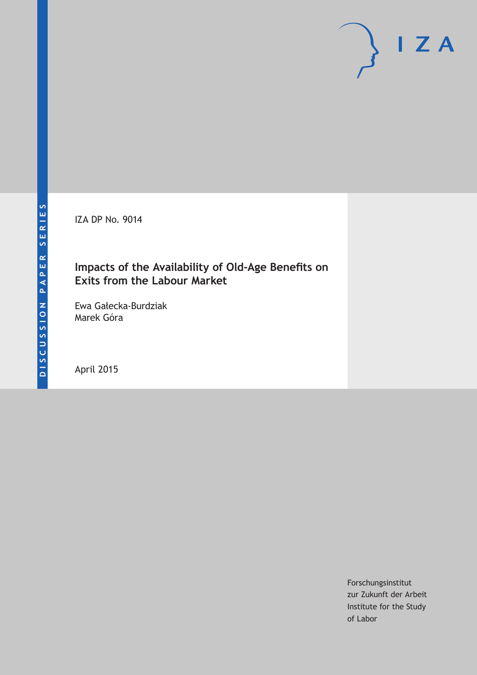IZA DP No. 9014

# **Impacts of the Availability of Old-Age Benefits on Exits from the Labour Market**

Ewa Gałecka-Burdziak Marek Góra

April 2015

Forschungsinstitut zur Zukunft der Arbeit Institute for the Study of Labor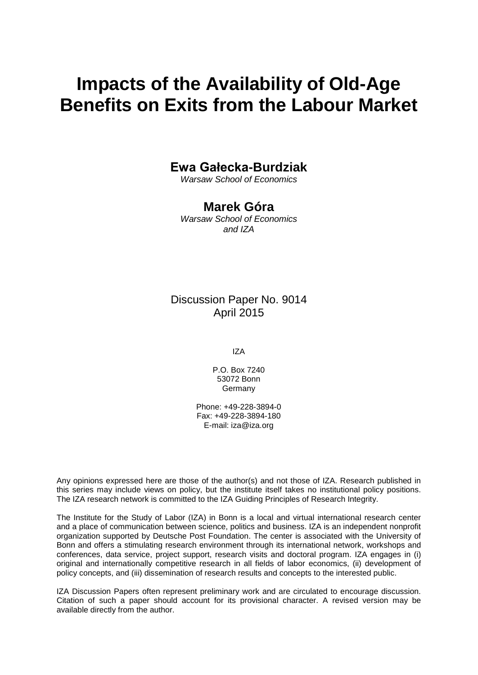# **Impacts of the Availability of Old-Age Benefits on Exits from the Labour Market**

## **Ewa Gałecka-Burdziak**

*Warsaw School of Economics*

# **Marek Góra**

*Warsaw School of Economics and IZA*

## Discussion Paper No. 9014 April 2015

IZA

P.O. Box 7240 53072 Bonn Germany

Phone: +49-228-3894-0 Fax: +49-228-3894-180 E-mail: iza@iza.org

Any opinions expressed here are those of the author(s) and not those of IZA. Research published in this series may include views on policy, but the institute itself takes no institutional policy positions. The IZA research network is committed to the IZA Guiding Principles of Research Integrity.

The Institute for the Study of Labor (IZA) in Bonn is a local and virtual international research center and a place of communication between science, politics and business. IZA is an independent nonprofit organization supported by Deutsche Post Foundation. The center is associated with the University of Bonn and offers a stimulating research environment through its international network, workshops and conferences, data service, project support, research visits and doctoral program. IZA engages in (i) original and internationally competitive research in all fields of labor economics, (ii) development of policy concepts, and (iii) dissemination of research results and concepts to the interested public.

<span id="page-1-0"></span>IZA Discussion Papers often represent preliminary work and are circulated to encourage discussion. Citation of such a paper should account for its provisional character. A revised version may be available directly from the author.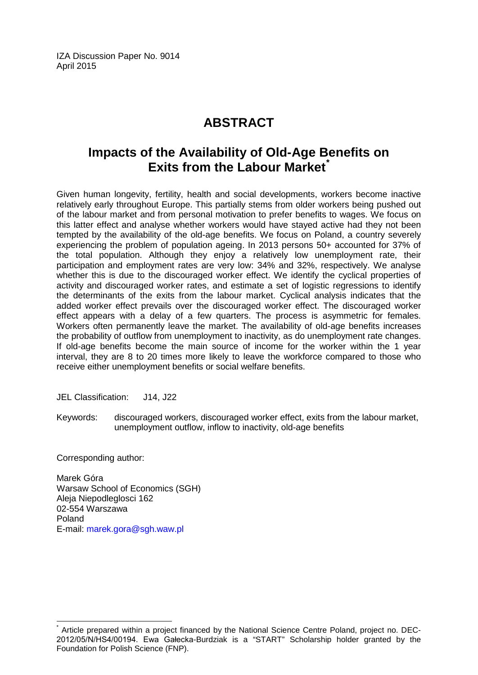IZA Discussion Paper No. 9014 April 2015

# **ABSTRACT**

# **Impacts of the Availability of Old-Age Benefits on Exits from the Labour Market[\\*](#page-1-0)**

Given human longevity, fertility, health and social developments, workers become inactive relatively early throughout Europe. This partially stems from older workers being pushed out of the labour market and from personal motivation to prefer benefits to wages. We focus on this latter effect and analyse whether workers would have stayed active had they not been tempted by the availability of the old-age benefits. We focus on Poland, a country severely experiencing the problem of population ageing. In 2013 persons 50+ accounted for 37% of the total population. Although they enjoy a relatively low unemployment rate, their participation and employment rates are very low: 34% and 32%, respectively. We analyse whether this is due to the discouraged worker effect. We identify the cyclical properties of activity and discouraged worker rates, and estimate a set of logistic regressions to identify the determinants of the exits from the labour market. Cyclical analysis indicates that the added worker effect prevails over the discouraged worker effect. The discouraged worker effect appears with a delay of a few quarters. The process is asymmetric for females. Workers often permanently leave the market. The availability of old-age benefits increases the probability of outflow from unemployment to inactivity, as do unemployment rate changes. If old-age benefits become the main source of income for the worker within the 1 year interval, they are 8 to 20 times more likely to leave the workforce compared to those who receive either unemployment benefits or social welfare benefits.

JEL Classification: J14, J22

Keywords: discouraged workers, discouraged worker effect, exits from the labour market, unemployment outflow, inflow to inactivity, old-age benefits

Corresponding author:

Marek Góra Warsaw School of Economics (SGH) Aleja Niepodleglosci 162 02-554 Warszawa Poland E-mail: [marek.gora@sgh.waw.pl](mailto:marek.gora@sgh.waw.pl)

Article prepared within a project financed by the National Science Centre Poland, project no. DEC-2012/05/N/HS4/00194. Ewa Gałecka-Burdziak is a "START" Scholarship holder granted by the Foundation for Polish Science (FNP).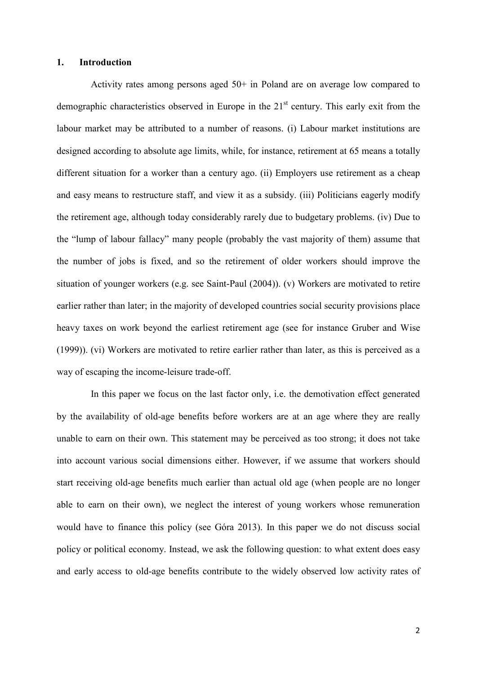#### **1. Introduction**

Activity rates among persons aged 50+ in Poland are on average low compared to demographic characteristics observed in Europe in the  $21<sup>st</sup>$  century. This early exit from the labour market may be attributed to a number of reasons. (i) Labour market institutions are designed according to absolute age limits, while, for instance, retirement at 65 means a totally different situation for a worker than a century ago. (ii) Employers use retirement as a cheap and easy means to restructure staff, and view it as a subsidy. (iii) Politicians eagerly modify the retirement age, although today considerably rarely due to budgetary problems. (iv) Due to the "lump of labour fallacy" many people (probably the vast majority of them) assume that the number of jobs is fixed, and so the retirement of older workers should improve the situation of younger workers (e.g. see Saint-Paul (2004)). (v) Workers are motivated to retire earlier rather than later; in the majority of developed countries social security provisions place heavy taxes on work beyond the earliest retirement age (see for instance Gruber and Wise (1999)). (vi) Workers are motivated to retire earlier rather than later, as this is perceived as a way of escaping the income-leisure trade-off.

In this paper we focus on the last factor only, i.e. the demotivation effect generated by the availability of old-age benefits before workers are at an age where they are really unable to earn on their own. This statement may be perceived as too strong; it does not take into account various social dimensions either. However, if we assume that workers should start receiving old-age benefits much earlier than actual old age (when people are no longer able to earn on their own), we neglect the interest of young workers whose remuneration would have to finance this policy (see Góra 2013). In this paper we do not discuss social policy or political economy. Instead, we ask the following question: to what extent does easy and early access to old-age benefits contribute to the widely observed low activity rates of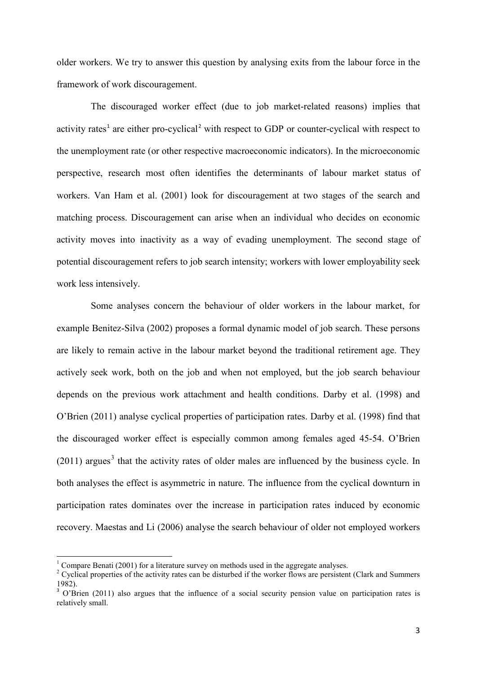older workers. We try to answer this question by analysing exits from the labour force in the framework of work discouragement.

The discouraged worker effect (due to job market-related reasons) implies that activity rates<sup> $1$ </sup> are either pro-cyclical<sup>[2](#page-4-1)</sup> with respect to GDP or counter-cyclical with respect to the unemployment rate (or other respective macroeconomic indicators). In the microeconomic perspective, research most often identifies the determinants of labour market status of workers. Van Ham et al. (2001) look for discouragement at two stages of the search and matching process. Discouragement can arise when an individual who decides on economic activity moves into inactivity as a way of evading unemployment. The second stage of potential discouragement refers to job search intensity; workers with lower employability seek work less intensively.

Some analyses concern the behaviour of older workers in the labour market, for example Benitez-Silva (2002) proposes a formal dynamic model of job search. These persons are likely to remain active in the labour market beyond the traditional retirement age. They actively seek work, both on the job and when not employed, but the job search behaviour depends on the previous work attachment and health conditions. Darby et al. (1998) and O'Brien (2011) analyse cyclical properties of participation rates. Darby et al. (1998) find that the discouraged worker effect is especially common among females aged 45-54. O'Brien  $(2011)$  argues<sup>[3](#page-4-2)</sup> that the activity rates of older males are influenced by the business cycle. In both analyses the effect is asymmetric in nature. The influence from the cyclical downturn in participation rates dominates over the increase in participation rates induced by economic recovery. Maestas and Li (2006) analyse the search behaviour of older not employed workers

<span id="page-4-1"></span>

<span id="page-4-0"></span><sup>&</sup>lt;sup>1</sup> Compare Benati (2001) for a literature survey on methods used in the aggregate analyses. <sup>2</sup> Cyclical properties of the activity rates can be disturbed if the worker flows are persistent (Clark and Summers) 1982).<br><sup>3</sup> O'Brien (2011) also argues that the influence of a social security pension value on participation rates is

<span id="page-4-2"></span>relatively small.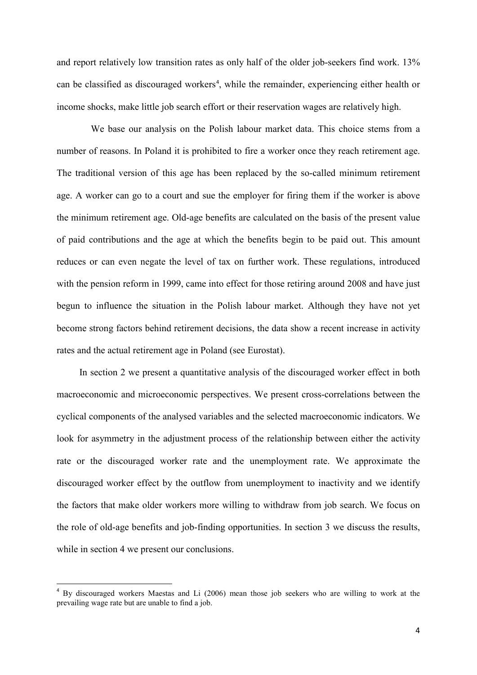and report relatively low transition rates as only half of the older job-seekers find work. 13% can be classified as discouraged workers<sup>[4](#page-5-0)</sup>, while the remainder, experiencing either health or income shocks, make little job search effort or their reservation wages are relatively high.

We base our analysis on the Polish labour market data. This choice stems from a number of reasons. In Poland it is prohibited to fire a worker once they reach retirement age. The traditional version of this age has been replaced by the so-called minimum retirement age. A worker can go to a court and sue the employer for firing them if the worker is above the minimum retirement age. Old-age benefits are calculated on the basis of the present value of paid contributions and the age at which the benefits begin to be paid out. This amount reduces or can even negate the level of tax on further work. These regulations, introduced with the pension reform in 1999, came into effect for those retiring around 2008 and have just begun to influence the situation in the Polish labour market. Although they have not yet become strong factors behind retirement decisions, the data show a recent increase in activity rates and the actual retirement age in Poland (see Eurostat).

In section 2 we present a quantitative analysis of the discouraged worker effect in both macroeconomic and microeconomic perspectives. We present cross-correlations between the cyclical components of the analysed variables and the selected macroeconomic indicators. We look for asymmetry in the adjustment process of the relationship between either the activity rate or the discouraged worker rate and the unemployment rate. We approximate the discouraged worker effect by the outflow from unemployment to inactivity and we identify the factors that make older workers more willing to withdraw from job search. We focus on the role of old-age benefits and job-finding opportunities. In section 3 we discuss the results, while in section 4 we present our conclusions.

<span id="page-5-0"></span><sup>&</sup>lt;sup>4</sup> By discouraged workers Maestas and Li (2006) mean those job seekers who are willing to work at the prevailing wage rate but are unable to find a job.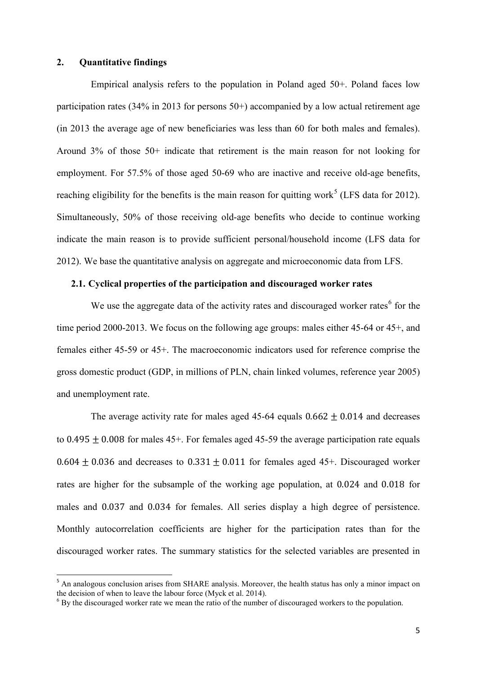#### **2. Quantitative findings**

Empirical analysis refers to the population in Poland aged 50+. Poland faces low participation rates (34% in 2013 for persons 50+) accompanied by a low actual retirement age (in 2013 the average age of new beneficiaries was less than 60 for both males and females). Around 3% of those 50+ indicate that retirement is the main reason for not looking for employment. For 57.5% of those aged 50-69 who are inactive and receive old-age benefits, reaching eligibility for the benefits is the main reason for quitting work<sup>[5](#page-6-0)</sup> (LFS data for 2012). Simultaneously, 50% of those receiving old-age benefits who decide to continue working indicate the main reason is to provide sufficient personal/household income (LFS data for 2012). We base the quantitative analysis on aggregate and microeconomic data from LFS.

#### **2.1. Cyclical properties of the participation and discouraged worker rates**

We use the aggregate data of the activity rates and discouraged worker rates $<sup>6</sup>$  $<sup>6</sup>$  $<sup>6</sup>$  for the</sup> time period 2000-2013. We focus on the following age groups: males either 45-64 or 45+, and females either 45-59 or 45+. The macroeconomic indicators used for reference comprise the gross domestic product (GDP, in millions of PLN, chain linked volumes, reference year 2005) and unemployment rate.

The average activity rate for males aged 45-64 equals  $0.662 \pm 0.014$  and decreases to  $0.495 + 0.008$  for males  $45+$ . For females aged  $45-59$  the average participation rate equals  $0.604 \pm 0.036$  and decreases to  $0.331 \pm 0.011$  for females aged 45+. Discouraged worker rates are higher for the subsample of the working age population, at 0.024 and 0.018 for males and 0.037 and 0.034 for females. All series display a high degree of persistence. Monthly autocorrelation coefficients are higher for the participation rates than for the discouraged worker rates. The summary statistics for the selected variables are presented in

<span id="page-6-0"></span><sup>&</sup>lt;sup>5</sup> An analogous conclusion arises from SHARE analysis. Moreover, the health status has only a minor impact on the decision of when to leave the labour force (Myck et al. 2014).

<span id="page-6-1"></span> $6$  By the discouraged worker rate we mean the ratio of the number of discouraged workers to the population.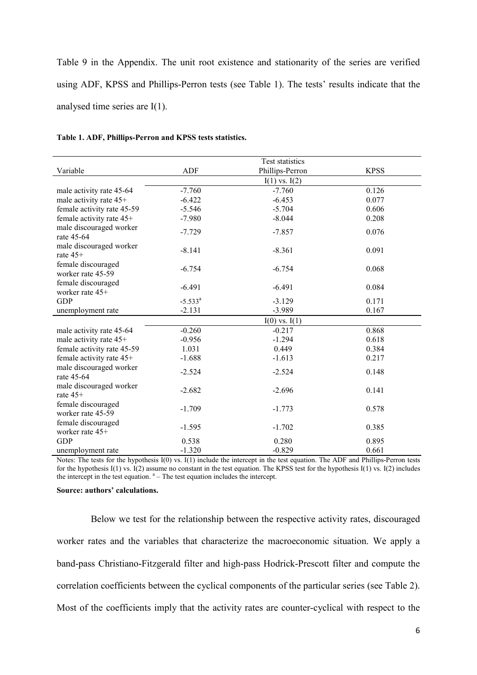Table 9 in the Appendix. The unit root existence and stationarity of the series are verified using ADF, KPSS and Phillips-Perron tests (see Table 1). The tests' results indicate that the analysed time series are I(1).

|                                         |              | Test statistics   |             |
|-----------------------------------------|--------------|-------------------|-------------|
| Variable                                | <b>ADF</b>   | Phillips-Perron   | <b>KPSS</b> |
|                                         |              | $I(1)$ vs. $I(2)$ |             |
| male activity rate 45-64                | $-7.760$     | $-7.760$          | 0.126       |
| male activity rate 45+                  | $-6.422$     | $-6.453$          | 0.077       |
| female activity rate 45-59              | $-5.546$     | $-5.704$          | 0.606       |
| female activity rate 45+                | $-7.980$     | $-8.044$          | 0.208       |
| male discouraged worker<br>rate 45-64   | $-7.729$     | $-7.857$          | 0.076       |
| male discouraged worker<br>rate $45+$   | $-8.141$     | $-8.361$          | 0.091       |
| female discouraged<br>worker rate 45-59 | $-6.754$     | $-6.754$          | 0.068       |
| female discouraged<br>worker rate 45+   | $-6.491$     | $-6.491$          | 0.084       |
| <b>GDP</b>                              | $-5.533^{a}$ | $-3.129$          | 0.171       |
| unemployment rate                       | $-2.131$     | $-3.989$          | 0.167       |
|                                         |              | $I(0)$ vs. $I(1)$ |             |
| male activity rate 45-64                | $-0.260$     | $-0.217$          | 0.868       |
| male activity rate 45+                  | $-0.956$     | $-1.294$          | 0.618       |
| female activity rate 45-59              | 1.031        | 0.449             | 0.384       |
| female activity rate 45+                | $-1.688$     | $-1.613$          | 0.217       |
| male discouraged worker<br>rate 45-64   | $-2.524$     | $-2.524$          | 0.148       |
| male discouraged worker<br>rate $45+$   | $-2.682$     | $-2.696$          | 0.141       |
| female discouraged<br>worker rate 45-59 | $-1.709$     | $-1.773$          | 0.578       |
| female discouraged<br>worker rate 45+   | $-1.595$     | $-1.702$          | 0.385       |
| <b>GDP</b>                              | 0.538        | 0.280             | 0.895       |
| unemployment rate                       | $-1.320$     | $-0.829$          | 0.661       |

#### **Table 1. ADF, Phillips-Perron and KPSS tests statistics.**

Notes: The tests for the hypothesis I(0) vs. I(1) include the intercept in the test equation. The ADF and Phillips-Perron tests for the hypothesis I(1) vs. I(2) assume no constant in the test equation. The KPSS test for the hypothesis I(1) vs. I(2) includes the intercept in the test equation.  $a -$ The test equation includes the intercept.

#### **Source: authors' calculations.**

Below we test for the relationship between the respective activity rates, discouraged worker rates and the variables that characterize the macroeconomic situation. We apply a band-pass Christiano-Fitzgerald filter and high-pass Hodrick-Prescott filter and compute the correlation coefficients between the cyclical components of the particular series (see Table 2). Most of the coefficients imply that the activity rates are counter-cyclical with respect to the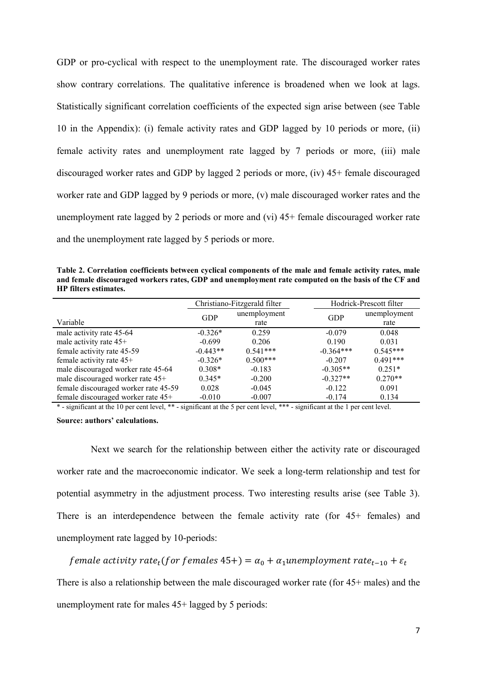GDP or pro-cyclical with respect to the unemployment rate. The discouraged worker rates show contrary correlations. The qualitative inference is broadened when we look at lags. Statistically significant correlation coefficients of the expected sign arise between (see Table 10 in the Appendix): (i) female activity rates and GDP lagged by 10 periods or more, (ii) female activity rates and unemployment rate lagged by 7 periods or more, (iii) male discouraged worker rates and GDP by lagged 2 periods or more, (iv) 45+ female discouraged worker rate and GDP lagged by 9 periods or more, (v) male discouraged worker rates and the unemployment rate lagged by 2 periods or more and (vi) 45+ female discouraged worker rate and the unemployment rate lagged by 5 periods or more.

**Table 2. Correlation coefficients between cyclical components of the male and female activity rates, male and female discouraged workers rates, GDP and unemployment rate computed on the basis of the CF and HP filters estimates.**

|                                      |            | Christiano-Fitzgerald filter | Hodrick-Prescott filter |              |  |
|--------------------------------------|------------|------------------------------|-------------------------|--------------|--|
|                                      | <b>GDP</b> | unemployment                 | <b>GDP</b>              | unemployment |  |
| Variable                             |            | rate                         |                         | rate         |  |
| male activity rate 45-64             | $-0.326*$  | 0.259                        | $-0.079$                | 0.048        |  |
| male activity rate 45+               | $-0.699$   | 0.206                        | 0.190                   | 0.031        |  |
| female activity rate 45-59           | $-0.443**$ | $0.541***$                   | $-0.364***$             | $0.545***$   |  |
| female activity rate 45+             | $-0.326*$  | $0.500***$                   | $-0.207$                | $0.491***$   |  |
| male discouraged worker rate 45-64   | $0.308*$   | $-0.183$                     | $-0.305**$              | $0.251*$     |  |
| male discouraged worker rate 45+     | $0.345*$   | $-0.200$                     | $-0.327**$              | $0.270**$    |  |
| female discouraged worker rate 45-59 | 0.028      | $-0.045$                     | $-0.122$                | 0.091        |  |
| female discouraged worker rate 45+   | $-0.010$   | $-0.007$                     | $-0.174$                | 0.134        |  |

\* - significant at the 10 per cent level, \*\* - significant at the 5 per cent level, \*\*\* - significant at the 1 per cent level.

**Source: authors' calculations.**

Next we search for the relationship between either the activity rate or discouraged worker rate and the macroeconomic indicator. We seek a long-term relationship and test for potential asymmetry in the adjustment process. Two interesting results arise (see Table 3). There is an interdependence between the female activity rate (for 45+ females) and unemployment rate lagged by 10-periods:

female activity rate<sub>t</sub>(for females 45+) =  $\alpha_0 + \alpha_1$ unemployment rate<sub>t-10</sub> +  $\varepsilon_t$ 

There is also a relationship between the male discouraged worker rate (for 45+ males) and the unemployment rate for males 45+ lagged by 5 periods: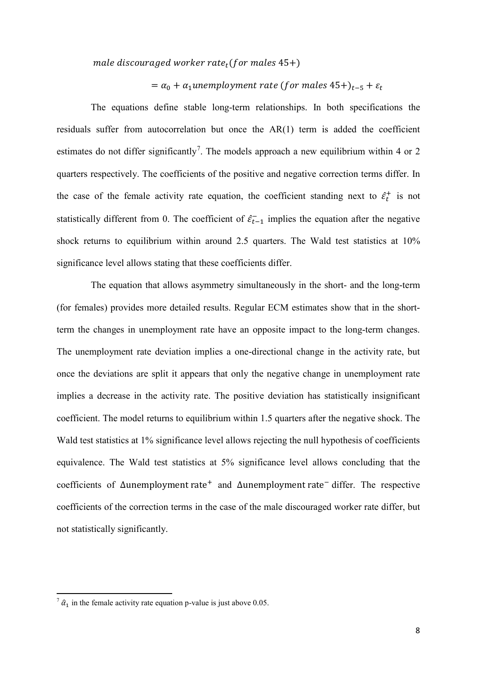male discouraged worker rate<sub>t</sub>(for males  $45+)$ )

 $= \alpha_0 + \alpha_1$ unemployment rate (for males 45+)<sub>t-5</sub> +  $\varepsilon_t$ 

The equations define stable long-term relationships. In both specifications the residuals suffer from autocorrelation but once the AR(1) term is added the coefficient estimates do not differ significantly<sup>[7](#page-9-0)</sup>. The models approach a new equilibrium within 4 or 2 quarters respectively. The coefficients of the positive and negative correction terms differ. In the case of the female activity rate equation, the coefficient standing next to  $\hat{\epsilon}_t^+$  is not statistically different from 0. The coefficient of  $\hat{\epsilon}_{t-1}$  implies the equation after the negative shock returns to equilibrium within around 2.5 quarters. The Wald test statistics at 10% significance level allows stating that these coefficients differ.

The equation that allows asymmetry simultaneously in the short- and the long-term (for females) provides more detailed results. Regular ECM estimates show that in the shortterm the changes in unemployment rate have an opposite impact to the long-term changes. The unemployment rate deviation implies a one-directional change in the activity rate, but once the deviations are split it appears that only the negative change in unemployment rate implies a decrease in the activity rate. The positive deviation has statistically insignificant coefficient. The model returns to equilibrium within 1.5 quarters after the negative shock. The Wald test statistics at 1% significance level allows rejecting the null hypothesis of coefficients equivalence. The Wald test statistics at 5% significance level allows concluding that the coefficients of ∆unemployment rate<sup>+</sup> and ∆unemployment rate<sup>-</sup> differ. The respective coefficients of the correction terms in the case of the male discouraged worker rate differ, but not statistically significantly.

 $\overline{a}$ 

<span id="page-9-0"></span> $\hat{a}_1$  in the female activity rate equation p-value is just above 0.05.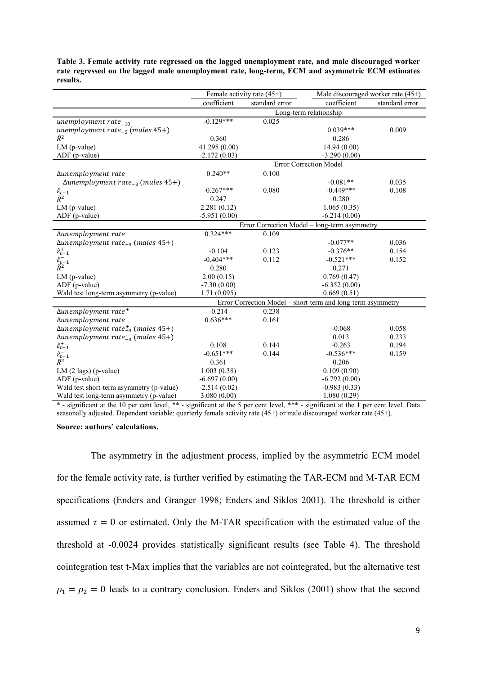| Table 3. Female activity rate regressed on the lagged unemployment rate, and male discouraged worker |
|------------------------------------------------------------------------------------------------------|
| rate regressed on the lagged male unemployment rate, long-term, ECM and asymmetric ECM estimates     |
| results.                                                                                             |

|                                                      | Female activity rate $(45+)$                 |                | Male discouraged worker rate (45+)                          |                |  |
|------------------------------------------------------|----------------------------------------------|----------------|-------------------------------------------------------------|----------------|--|
|                                                      | coefficient                                  | standard error | coefficient                                                 | standard error |  |
|                                                      |                                              |                | Long-term relationship                                      |                |  |
| unemployment rate $_{-10}$                           | $-0.129***$                                  | 0.025          |                                                             |                |  |
| unemployment rate <sub>-5</sub> (males $45+)$        |                                              |                | $0.039***$                                                  | 0.009          |  |
| $\bar{R}^2$                                          | 0.360                                        |                | 0.286                                                       |                |  |
| LM (p-value)                                         | 41.295 (0.00)                                |                | 14.94 (0.00)                                                |                |  |
| ADF (p-value)                                        | $-2.172(0.03)$                               |                | $-3.290(0.00)$                                              |                |  |
|                                                      |                                              |                | Error Correction Model                                      |                |  |
| Δunemployment rate                                   | $0.240**$                                    | 0.100          |                                                             |                |  |
| $\Delta$ unemployment rate <sub>-3</sub> (males 45+) |                                              |                | $-0.081**$                                                  | 0.035          |  |
| $\hat{\varepsilon}_{t-1}$                            | $-0.267***$                                  | 0.080          | $-0.449***$                                                 | 0.108          |  |
| $\bar{R}^2$                                          | 0.247                                        |                | 0.280                                                       |                |  |
| $LM$ (p-value)                                       | 2.281(0.12)                                  |                | 1.065(0.35)                                                 |                |  |
| ADF (p-value)                                        | $-5.951(0.00)$                               |                | $-6.214(0.00)$                                              |                |  |
|                                                      | Error Correction Model - long-term asymmetry |                |                                                             |                |  |
| Δunemployment rate                                   | $0.324***$                                   | 0.109          |                                                             |                |  |
| $\Delta$ unemployment rate <sub>-3</sub> (males 45+) |                                              |                | $-0.077**$                                                  | 0.036          |  |
| $\hat{\varepsilon}_{t-1}^+$                          | $-0.104$                                     | 0.123          | $-0.376**$                                                  | 0.154          |  |
| $\frac{\hat{\varepsilon}_{t-1}^-}{\bar{R}^2}$        | $-0.404***$                                  | 0.112          | $-0.521***$                                                 | 0.152          |  |
|                                                      | 0.280                                        |                | 0.271                                                       |                |  |
| LM (p-value)                                         | 2.00(0.15)                                   |                | 0.769(0.47)                                                 |                |  |
| ADF (p-value)                                        | $-7.30(0.00)$                                |                | $-6.352(0.00)$                                              |                |  |
| Wald test long-term asymmetry (p-value)              | 1.71(0.095)                                  |                | 0.669(0.51)                                                 |                |  |
|                                                      |                                              |                | Error Correction Model – short-term and long-term asymmetry |                |  |
| $\Delta$ unemployment rate <sup>+</sup>              | $-0.214$                                     | 0.238          |                                                             |                |  |
| $\Delta$ unemployment rate <sup>-</sup>              | $0.636***$                                   | 0.161          |                                                             |                |  |
| $\Delta$ unemployment rate $_{-3}^+$ (males 45+)     |                                              |                | $-0.068$                                                    | 0.058          |  |
| $\Delta$ unemployment rate $\bar{z}_3$ (males 45+)   |                                              |                | 0.013                                                       | 0.233          |  |
| $\hat{\varepsilon}_{t-1}^+$                          | 0.108                                        | 0.144          | $-0.263$                                                    | 0.194          |  |
| $\frac{\hat{\varepsilon}_{t-1}^{-}}{\bar{R}^2}$      | $-0.651***$                                  | 0.144          | $-0.536***$                                                 | 0.159          |  |
|                                                      | 0.361                                        |                | 0.206                                                       |                |  |
| $LM(2 \text{ lags})$ (p-value)                       | 1.003(0.38)                                  |                | 0.109(0.90)                                                 |                |  |
| ADF (p-value)                                        | $-6.697(0.00)$                               |                | $-6.792(0.00)$                                              |                |  |
| Wald test short-term asymmetry (p-value)             | $-2.514(0.02)$                               |                | $-0.983(0.33)$                                              |                |  |
| Wald test long-term asymmetry (p-value)              | 3.080(0.00)                                  |                | 1.080(0.29)                                                 |                |  |

\* - significant at the 10 per cent level, \*\* - significant at the 5 per cent level, \*\*\* - significant at the 1 per cent level. Data seasonally adjusted. Dependent variable: quarterly female activity rate (45+) or male discouraged worker rate (45+).

#### **Source: authors' calculations.**

The asymmetry in the adjustment process, implied by the asymmetric ECM model for the female activity rate, is further verified by estimating the TAR-ECM and M-TAR ECM specifications (Enders and Granger 1998; Enders and Siklos 2001). The threshold is either assumed  $\tau = 0$  or estimated. Only the M-TAR specification with the estimated value of the threshold at -0.0024 provides statistically significant results (see Table 4). The threshold cointegration test t-Max implies that the variables are not cointegrated, but the alternative test  $\rho_1 = \rho_2 = 0$  leads to a contrary conclusion. Enders and Siklos (2001) show that the second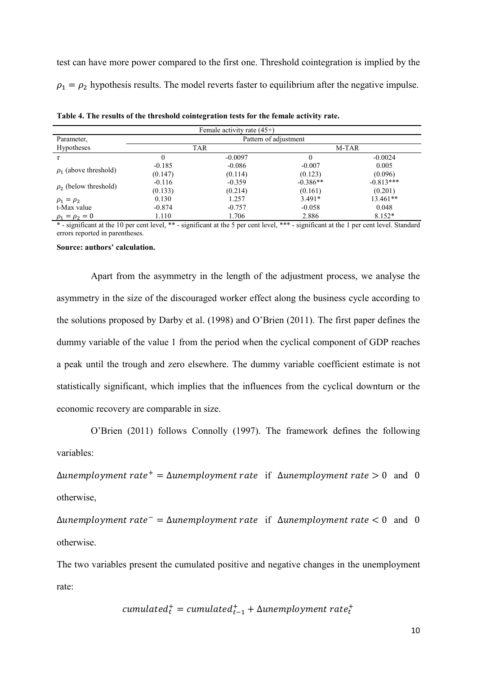test can have more power compared to the first one. Threshold cointegration is implied by the  $\rho_1 = \rho_2$  hypothesis results. The model reverts faster to equilibrium after the negative impulse.

| Female activity rate $(45+)$ |          |            |                       |             |  |  |  |
|------------------------------|----------|------------|-----------------------|-------------|--|--|--|
| Parameter,                   |          |            | Pattern of adjustment |             |  |  |  |
| <b>Hypotheses</b>            |          | <b>TAR</b> |                       | M-TAR       |  |  |  |
| τ                            | 0        | $-0.0097$  | 0                     | $-0.0024$   |  |  |  |
| $\rho_1$ (above threshold)   | $-0.185$ | $-0.086$   | $-0.007$              | 0.005       |  |  |  |
|                              | (0.147)  | (0.114)    | (0.123)               | (0.096)     |  |  |  |
|                              | $-0.116$ | $-0.359$   | $-0.386**$            | $-0.813***$ |  |  |  |
| $\rho_2$ (below threshold)   | (0.133)  | (0.214)    | (0.161)               | (0.201)     |  |  |  |
| $\rho_1 = \rho_2$            | 0.130    | 1.257      | $3.491*$              | $13.461**$  |  |  |  |
| t-Max value                  | $-0.874$ | $-0.757$   | $-0.058$              | 0.048       |  |  |  |
| $\rho_1 = \rho_2 = 0$        | 1.110    | 1.706      | 2.886                 | $8.152*$    |  |  |  |

**Table 4. The results of the threshold cointegration tests for the female activity rate.**

\* - significant at the 10 per cent level, \*\* - significant at the 5 per cent level, \*\*\* - significant at the 1 per cent level. Standard errors reported in parentheses.

#### **Source: authors' calculation.**

Apart from the asymmetry in the length of the adjustment process, we analyse the asymmetry in the size of the discouraged worker effect along the business cycle according to the solutions proposed by Darby et al. (1998) and O'Brien (2011). The first paper defines the dummy variable of the value 1 from the period when the cyclical component of GDP reaches a peak until the trough and zero elsewhere. The dummy variable coefficient estimate is not statistically significant, which implies that the influences from the cyclical downturn or the economic recovery are comparable in size.

O'Brien (2011) follows Connolly (1997). The framework defines the following variables:

 $\Delta$ unemployment rate<sup>+</sup> =  $\Delta$ unemployment rate if  $\Delta$ unemployment rate > 0 and 0 otherwise,

 $\Delta$ unemployment rate<sup>-</sup> =  $\Delta$ unemployment rate if  $\Delta$ unemployment rate < 0 and 0 otherwise.

The two variables present the cumulated positive and negative changes in the unemployment rate:

$$
cumulated_t^+ = cumulated_{t-1}^+ + \Delta un employment\ rate_t^+
$$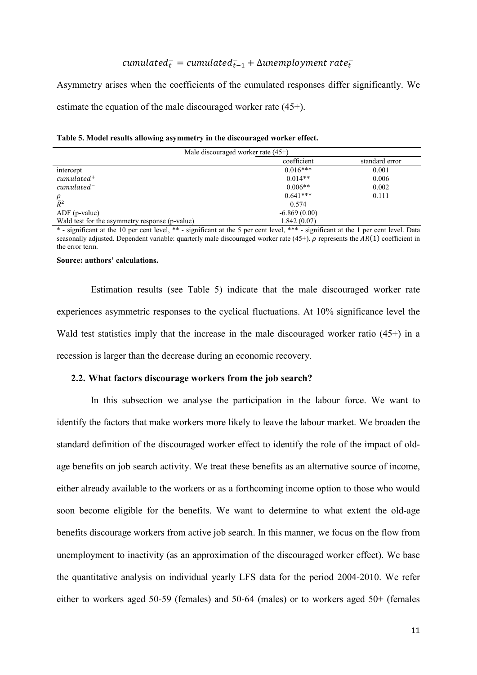# $cumulated_t^- = cumulated_{t-1}^- + \Delta unemployment\ rate_t^+$

Asymmetry arises when the coefficients of the cumulated responses differ significantly. We estimate the equation of the male discouraged worker rate (45+).

**Table 5. Model results allowing asymmetry in the discouraged worker effect.**

| Male discouraged worker rate $(45+)$           |                |       |  |  |  |  |  |  |  |
|------------------------------------------------|----------------|-------|--|--|--|--|--|--|--|
| coefficient<br>standard error                  |                |       |  |  |  |  |  |  |  |
| intercept                                      | $0.016***$     | 0.001 |  |  |  |  |  |  |  |
| $cumulated^+$                                  | $0.014**$      | 0.006 |  |  |  |  |  |  |  |
| $cumulated^-$                                  | $0.006**$      | 0.002 |  |  |  |  |  |  |  |
| ρ                                              | $0.641***$     | 0.111 |  |  |  |  |  |  |  |
| $\bar{R}^2$                                    | 0.574          |       |  |  |  |  |  |  |  |
| $ADF$ (p-value)                                | $-6.869(0.00)$ |       |  |  |  |  |  |  |  |
| Wald test for the asymmetry response (p-value) | 1.842(0.07)    |       |  |  |  |  |  |  |  |

\* - significant at the 10 per cent level, \*\* - significant at the 5 per cent level, \*\*\* - significant at the 1 per cent level. Data seasonally adjusted. Dependent variable: quarterly male discouraged worker rate  $(45+)$ .  $\rho$  represents the  $AR(1)$  coefficient in the error term.

#### **Source: authors' calculations.**

Estimation results (see Table 5) indicate that the male discouraged worker rate experiences asymmetric responses to the cyclical fluctuations. At 10% significance level the Wald test statistics imply that the increase in the male discouraged worker ratio  $(45+)$  in a recession is larger than the decrease during an economic recovery.

#### **2.2. What factors discourage workers from the job search?**

In this subsection we analyse the participation in the labour force. We want to identify the factors that make workers more likely to leave the labour market. We broaden the standard definition of the discouraged worker effect to identify the role of the impact of oldage benefits on job search activity. We treat these benefits as an alternative source of income, either already available to the workers or as a forthcoming income option to those who would soon become eligible for the benefits. We want to determine to what extent the old-age benefits discourage workers from active job search. In this manner, we focus on the flow from unemployment to inactivity (as an approximation of the discouraged worker effect). We base the quantitative analysis on individual yearly LFS data for the period 2004-2010. We refer either to workers aged 50-59 (females) and 50-64 (males) or to workers aged 50+ (females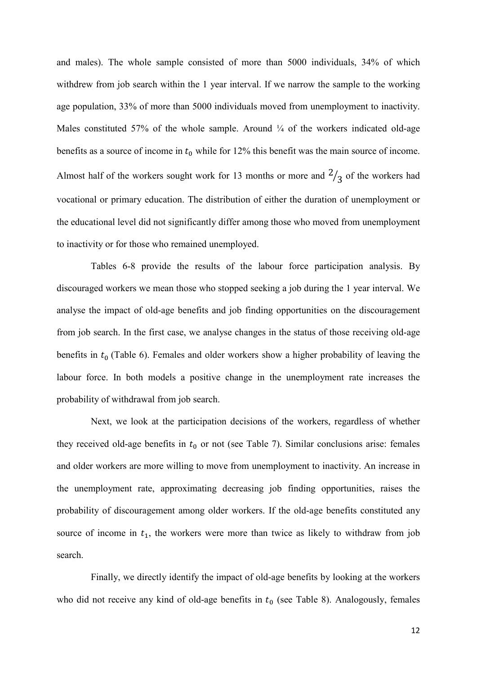and males). The whole sample consisted of more than 5000 individuals, 34% of which withdrew from job search within the 1 year interval. If we narrow the sample to the working age population, 33% of more than 5000 individuals moved from unemployment to inactivity. Males constituted 57% of the whole sample. Around  $\frac{1}{4}$  of the workers indicated old-age benefits as a source of income in  $t_0$  while for 12% this benefit was the main source of income. Almost half of the workers sought work for 13 months or more and  $\frac{2}{3}$  of the workers had vocational or primary education. The distribution of either the duration of unemployment or the educational level did not significantly differ among those who moved from unemployment to inactivity or for those who remained unemployed.

Tables 6-8 provide the results of the labour force participation analysis. By discouraged workers we mean those who stopped seeking a job during the 1 year interval. We analyse the impact of old-age benefits and job finding opportunities on the discouragement from job search. In the first case, we analyse changes in the status of those receiving old-age benefits in  $t_0$  (Table 6). Females and older workers show a higher probability of leaving the labour force. In both models a positive change in the unemployment rate increases the probability of withdrawal from job search.

Next, we look at the participation decisions of the workers, regardless of whether they received old-age benefits in  $t_0$  or not (see Table 7). Similar conclusions arise: females and older workers are more willing to move from unemployment to inactivity. An increase in the unemployment rate, approximating decreasing job finding opportunities, raises the probability of discouragement among older workers. If the old-age benefits constituted any source of income in  $t_1$ , the workers were more than twice as likely to withdraw from job search.

Finally, we directly identify the impact of old-age benefits by looking at the workers who did not receive any kind of old-age benefits in  $t_0$  (see Table 8). Analogously, females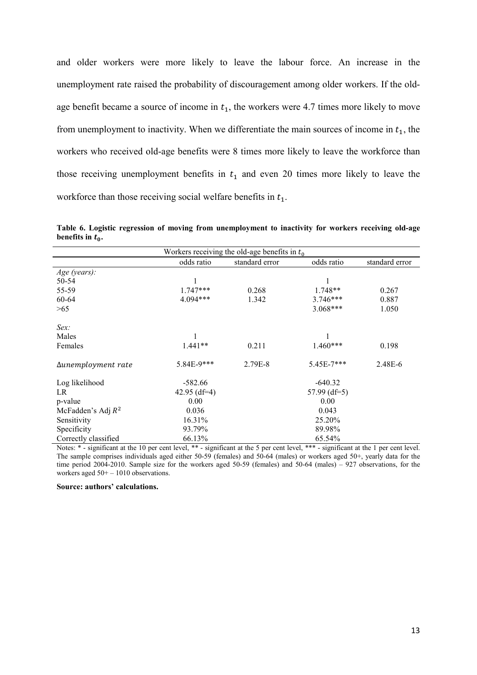and older workers were more likely to leave the labour force. An increase in the unemployment rate raised the probability of discouragement among older workers. If the oldage benefit became a source of income in  $t_1$ , the workers were 4.7 times more likely to move from unemployment to inactivity. When we differentiate the main sources of income in  $t<sub>1</sub>$ , the workers who received old-age benefits were 8 times more likely to leave the workforce than those receiving unemployment benefits in  $t_1$  and even 20 times more likely to leave the workforce than those receiving social welfare benefits in  $t_1$ .

**Table 6. Logistic regression of moving from unemployment to inactivity for workers receiving old-age benefits in**  $t_0$ .

| Workers receiving the old-age benefits in $t_0$ |                |                |                |                |  |  |  |  |
|-------------------------------------------------|----------------|----------------|----------------|----------------|--|--|--|--|
|                                                 | odds ratio     | standard error | odds ratio     | standard error |  |  |  |  |
| Age (years):                                    |                |                |                |                |  |  |  |  |
| 50-54                                           |                |                |                |                |  |  |  |  |
| 55-59                                           | $1.747***$     | 0.268          | 1.748**        | 0.267          |  |  |  |  |
| 60-64                                           | 4.094***       | 1.342          | $3.746***$     | 0.887          |  |  |  |  |
| >65                                             |                |                | $3.068***$     | 1.050          |  |  |  |  |
| $Sex$ :                                         |                |                |                |                |  |  |  |  |
| Males                                           |                |                |                |                |  |  |  |  |
| Females                                         | $1.441**$      | 0.211          | 1.460***       | 0.198          |  |  |  |  |
| Δunemployment rate                              | 5.84E-9***     | 2.79E-8        | $5.45E-7***$   | 2.48E-6        |  |  |  |  |
| Log likelihood                                  | $-582.66$      |                | $-640.32$      |                |  |  |  |  |
| LR                                              | 42.95 $(df=4)$ |                | 57.99 $(df=5)$ |                |  |  |  |  |
| p-value                                         | 0.00           |                | 0.00           |                |  |  |  |  |
| McFadden's Adj $R^2$                            | 0.036          |                | 0.043          |                |  |  |  |  |
| Sensitivity                                     | 16.31%         |                | 25.20%         |                |  |  |  |  |
| Specificity                                     | 93.79%         |                | 89.98%         |                |  |  |  |  |
| Correctly classified                            | 66.13%         |                | 65.54%         |                |  |  |  |  |

Notes: \* - significant at the 10 per cent level, \*\* - significant at the 5 per cent level, \*\*\* - significant at the 1 per cent level. The sample comprises individuals aged either 50-59 (females) and 50-64 (males) or workers aged 50+, yearly data for the time period 2004-2010. Sample size for the workers aged 50-59 (females) and 50-64 (males) – 927 observations, for the workers aged  $50+-1010$  observations.

#### **Source: authors' calculations.**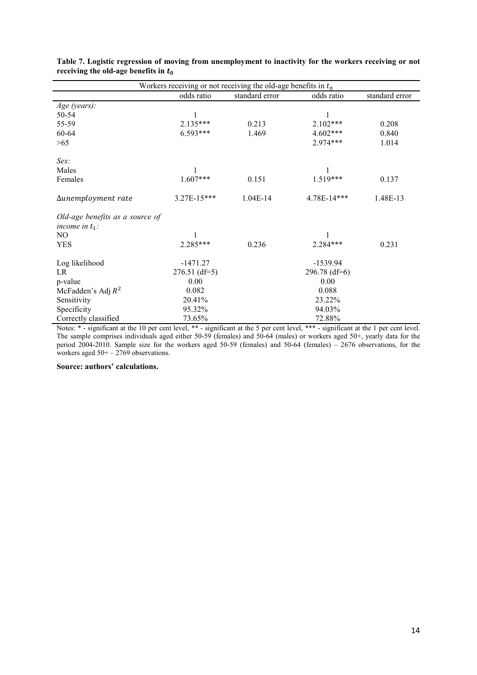| Workers receiving or not receiving the old-age benefits in $t_0$ |                 |                |                 |                |  |  |  |
|------------------------------------------------------------------|-----------------|----------------|-----------------|----------------|--|--|--|
|                                                                  | odds ratio      | standard error | odds ratio      | standard error |  |  |  |
| Age (years):                                                     |                 |                |                 |                |  |  |  |
| 50-54                                                            | 1               |                | 1               |                |  |  |  |
| 55-59                                                            | 2.135***        | 0.213          | $2.102***$      | 0.208          |  |  |  |
| 60-64                                                            | 6.593***        | 1.469          | $4.602***$      | 0.840          |  |  |  |
| >65                                                              |                 |                | 2.974***        | 1.014          |  |  |  |
| $Sex$ :                                                          |                 |                |                 |                |  |  |  |
| Males                                                            |                 |                | 1               |                |  |  |  |
| Females                                                          | $1.607***$      | 0.151          | $1.519***$      | 0.137          |  |  |  |
| Δunemployment rate                                               | 3.27E-15***     | $1.04E-14$     | 4.78E-14***     | 1.48E-13       |  |  |  |
| Old-age benefits as a source of                                  |                 |                |                 |                |  |  |  |
| income in $t_1$ :<br>NO                                          |                 |                |                 |                |  |  |  |
| <b>YES</b>                                                       | 2.285***        | 0.236          | 2.284***        | 0.231          |  |  |  |
| Log likelihood                                                   | $-1471.27$      |                | $-1539.94$      |                |  |  |  |
| LR                                                               | $276.51$ (df=5) |                | $296.78$ (df=6) |                |  |  |  |
| p-value                                                          | 0.00            |                | 0.00            |                |  |  |  |
| McFadden's Adj $R^2$                                             | 0.082           |                | 0.088           |                |  |  |  |
| Sensitivity                                                      | 20.41%          |                | 23.22%          |                |  |  |  |
| Specificity                                                      | 95.32%          |                | 94.03%          |                |  |  |  |
| Correctly classified                                             | 73.65%          |                | 72.88%          |                |  |  |  |

**Table 7. Logistic regression of moving from unemployment to inactivity for the workers receiving or not receiving the old-age benefits in**  $t_0$ 

Notes: \* - significant at the 10 per cent level, \*\* - significant at the 5 per cent level, \*\*\* - significant at the 1 per cent level. The sample comprises individuals aged either 50-59 (females) and 50-64 (males) or workers aged 50+, yearly data for the period 2004-2010. Sample size for the workers aged 50-59 (females) and 50-64 (females) – 2676 observations, for the workers aged  $50+-2769$  observations.

**Source: authors' calculations.**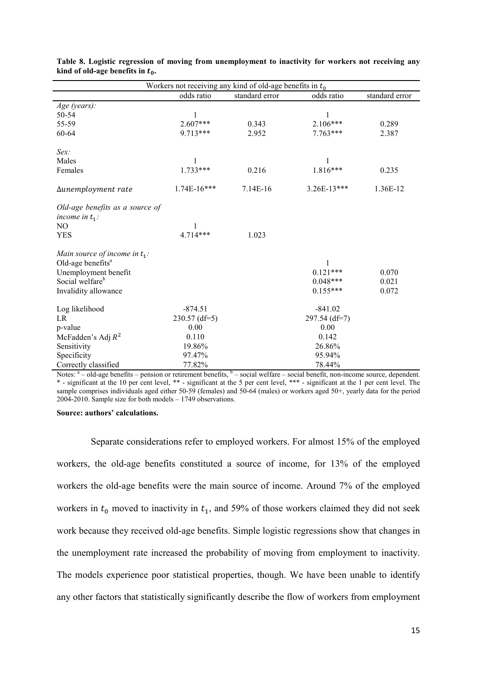| Workers not receiving any kind of old-age benefits in $t_0$                                                                                      |                              |                |                                             |                         |  |  |  |
|--------------------------------------------------------------------------------------------------------------------------------------------------|------------------------------|----------------|---------------------------------------------|-------------------------|--|--|--|
|                                                                                                                                                  | odds ratio                   | standard error | odds ratio                                  | standard error          |  |  |  |
| Age (years):                                                                                                                                     |                              |                |                                             |                         |  |  |  |
| 50-54                                                                                                                                            |                              |                |                                             |                         |  |  |  |
| 55-59                                                                                                                                            | $2.607***$                   | 0.343          | $2.106***$                                  | 0.289                   |  |  |  |
| 60-64                                                                                                                                            | $9.713***$                   | 2.952          | $7.763***$                                  | 2.387                   |  |  |  |
| Sex:                                                                                                                                             |                              |                |                                             |                         |  |  |  |
| Males                                                                                                                                            | 1                            |                | 1                                           |                         |  |  |  |
| Females                                                                                                                                          | $1.733***$                   | 0.216          | 1.816***                                    | 0.235                   |  |  |  |
| Δunemployment rate                                                                                                                               | $1.74E-16***$                | 7.14E-16       | $3.26E-13***$                               | 1.36E-12                |  |  |  |
| Old-age benefits as a source of<br>income in $t_1$ :<br>NO                                                                                       | 1                            |                |                                             |                         |  |  |  |
| <b>YES</b>                                                                                                                                       | $4.714***$                   | 1.023          |                                             |                         |  |  |  |
| Main source of income in $t_1$ :<br>Old-age benefits <sup>a</sup><br>Unemployment benefit<br>Social welfare <sup>b</sup><br>Invalidity allowance |                              |                | 1<br>$0.121***$<br>$0.048***$<br>$0.155***$ | 0.070<br>0.021<br>0.072 |  |  |  |
| Log likelihood<br>LR                                                                                                                             | $-874.51$<br>$230.57$ (df=5) |                | $-841.02$<br>297.54 (df=7)                  |                         |  |  |  |
| p-value                                                                                                                                          | 0.00                         |                | 0.00                                        |                         |  |  |  |
| McFadden's Adj $R^2$                                                                                                                             | 0.110                        |                | 0.142                                       |                         |  |  |  |
| Sensitivity                                                                                                                                      | 19.86%                       |                | 26.86%                                      |                         |  |  |  |
| Specificity                                                                                                                                      | 97.47%                       |                | 95.94%                                      |                         |  |  |  |
| Correctly classified                                                                                                                             | 77.82%                       |                | 78.44%                                      |                         |  |  |  |

|                                     |  |  | Table 8. Logistic regression of moving from unemployment to inactivity for workers not receiving any |
|-------------------------------------|--|--|------------------------------------------------------------------------------------------------------|
| kind of old-age benefits in $t_0$ . |  |  |                                                                                                      |

Notes: <sup>a</sup> – old-age benefits – pension or retirement benefits, <sup>b</sup> – social welfare – social benefit, non-income source, dependent. \* - significant at the 10 per cent level, \*\* - significant at the 5 per cent level, \*\*\* - significant at the 1 per cent level. The sample comprises individuals aged either 50-59 (females) and 50-64 (males) or workers aged 50+, yearly data for the period 2004-2010. Sample size for both models – 1749 observations.

#### **Source: authors' calculations.**

Separate considerations refer to employed workers. For almost 15% of the employed workers, the old-age benefits constituted a source of income, for 13% of the employed workers the old-age benefits were the main source of income. Around 7% of the employed workers in  $t_0$  moved to inactivity in  $t_1$ , and 59% of those workers claimed they did not seek work because they received old-age benefits. Simple logistic regressions show that changes in the unemployment rate increased the probability of moving from employment to inactivity. The models experience poor statistical properties, though. We have been unable to identify any other factors that statistically significantly describe the flow of workers from employment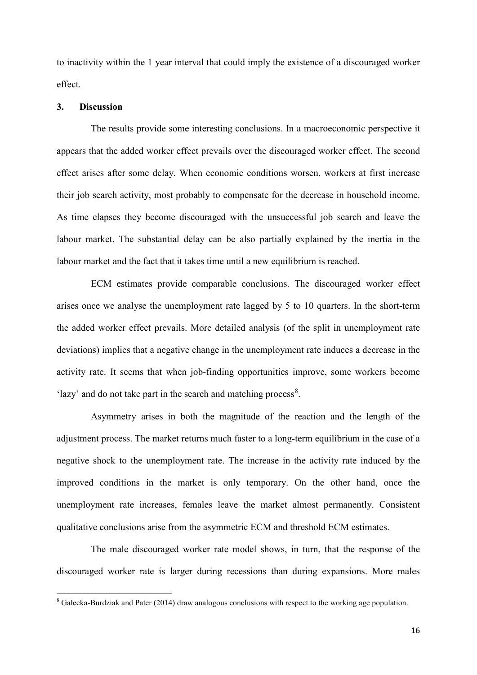to inactivity within the 1 year interval that could imply the existence of a discouraged worker effect.

#### **3. Discussion**

The results provide some interesting conclusions. In a macroeconomic perspective it appears that the added worker effect prevails over the discouraged worker effect. The second effect arises after some delay. When economic conditions worsen, workers at first increase their job search activity, most probably to compensate for the decrease in household income. As time elapses they become discouraged with the unsuccessful job search and leave the labour market. The substantial delay can be also partially explained by the inertia in the labour market and the fact that it takes time until a new equilibrium is reached.

ECM estimates provide comparable conclusions. The discouraged worker effect arises once we analyse the unemployment rate lagged by 5 to 10 quarters. In the short-term the added worker effect prevails. More detailed analysis (of the split in unemployment rate deviations) implies that a negative change in the unemployment rate induces a decrease in the activity rate. It seems that when job-finding opportunities improve, some workers become 'lazy' and do not take part in the search and matching process<sup>[8](#page-17-0)</sup>.

Asymmetry arises in both the magnitude of the reaction and the length of the adjustment process. The market returns much faster to a long-term equilibrium in the case of a negative shock to the unemployment rate. The increase in the activity rate induced by the improved conditions in the market is only temporary. On the other hand, once the unemployment rate increases, females leave the market almost permanently. Consistent qualitative conclusions arise from the asymmetric ECM and threshold ECM estimates.

The male discouraged worker rate model shows, in turn, that the response of the discouraged worker rate is larger during recessions than during expansions. More males

<span id="page-17-0"></span><sup>8</sup> Gałecka-Burdziak and Pater (2014) draw analogous conclusions with respect to the working age population.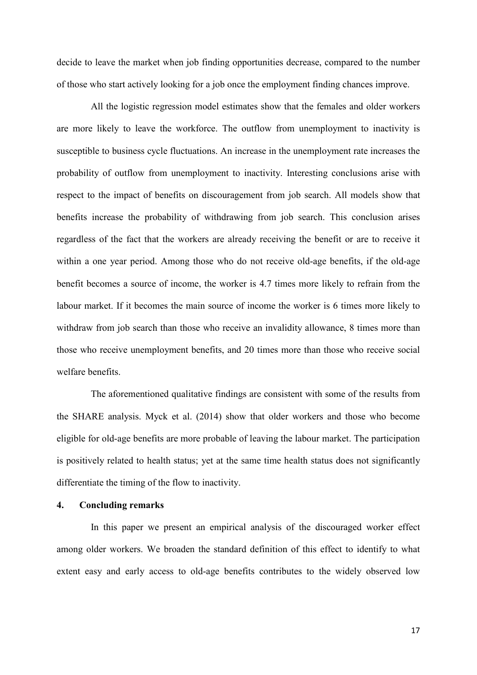decide to leave the market when job finding opportunities decrease, compared to the number of those who start actively looking for a job once the employment finding chances improve.

All the logistic regression model estimates show that the females and older workers are more likely to leave the workforce. The outflow from unemployment to inactivity is susceptible to business cycle fluctuations. An increase in the unemployment rate increases the probability of outflow from unemployment to inactivity. Interesting conclusions arise with respect to the impact of benefits on discouragement from job search. All models show that benefits increase the probability of withdrawing from job search. This conclusion arises regardless of the fact that the workers are already receiving the benefit or are to receive it within a one year period. Among those who do not receive old-age benefits, if the old-age benefit becomes a source of income, the worker is 4.7 times more likely to refrain from the labour market. If it becomes the main source of income the worker is 6 times more likely to withdraw from job search than those who receive an invalidity allowance, 8 times more than those who receive unemployment benefits, and 20 times more than those who receive social welfare benefits.

The aforementioned qualitative findings are consistent with some of the results from the SHARE analysis. Myck et al. (2014) show that older workers and those who become eligible for old-age benefits are more probable of leaving the labour market. The participation is positively related to health status; yet at the same time health status does not significantly differentiate the timing of the flow to inactivity.

#### **4. Concluding remarks**

In this paper we present an empirical analysis of the discouraged worker effect among older workers. We broaden the standard definition of this effect to identify to what extent easy and early access to old-age benefits contributes to the widely observed low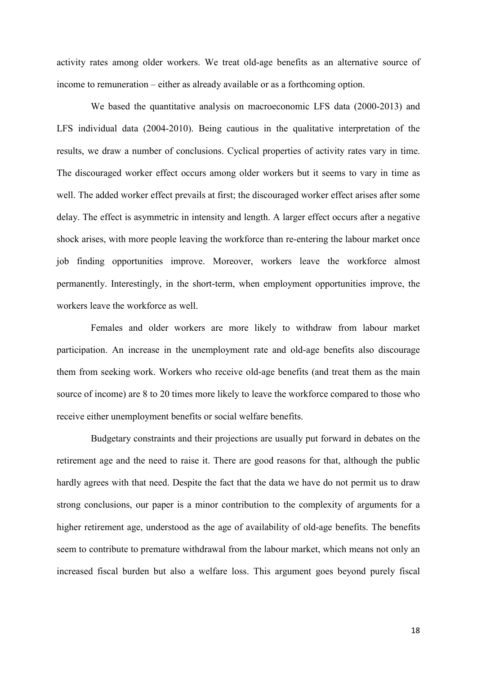activity rates among older workers. We treat old-age benefits as an alternative source of income to remuneration – either as already available or as a forthcoming option.

We based the quantitative analysis on macroeconomic LFS data (2000-2013) and LFS individual data (2004-2010). Being cautious in the qualitative interpretation of the results, we draw a number of conclusions. Cyclical properties of activity rates vary in time. The discouraged worker effect occurs among older workers but it seems to vary in time as well. The added worker effect prevails at first; the discouraged worker effect arises after some delay. The effect is asymmetric in intensity and length. A larger effect occurs after a negative shock arises, with more people leaving the workforce than re-entering the labour market once job finding opportunities improve. Moreover, workers leave the workforce almost permanently. Interestingly, in the short-term, when employment opportunities improve, the workers leave the workforce as well.

Females and older workers are more likely to withdraw from labour market participation. An increase in the unemployment rate and old-age benefits also discourage them from seeking work. Workers who receive old-age benefits (and treat them as the main source of income) are 8 to 20 times more likely to leave the workforce compared to those who receive either unemployment benefits or social welfare benefits.

Budgetary constraints and their projections are usually put forward in debates on the retirement age and the need to raise it. There are good reasons for that, although the public hardly agrees with that need. Despite the fact that the data we have do not permit us to draw strong conclusions, our paper is a minor contribution to the complexity of arguments for a higher retirement age, understood as the age of availability of old-age benefits. The benefits seem to contribute to premature withdrawal from the labour market, which means not only an increased fiscal burden but also a welfare loss. This argument goes beyond purely fiscal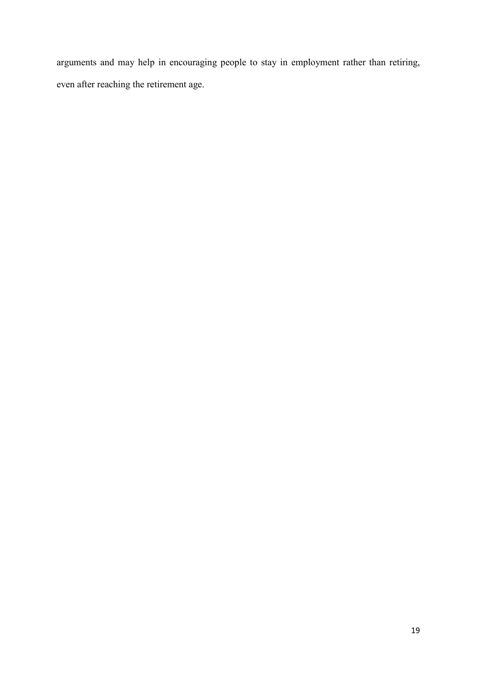arguments and may help in encouraging people to stay in employment rather than retiring, even after reaching the retirement age.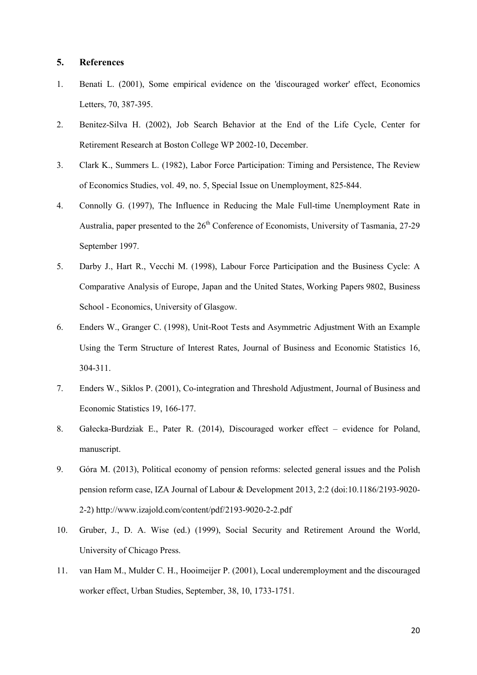#### **5. References**

- 1. Benati L. (2001), Some empirical evidence on the 'discouraged worker' effect, Economics Letters, 70, 387-395.
- 2. Benitez-Silva H. (2002), Job Search Behavior at the End of the Life Cycle, Center for Retirement Research at Boston College WP 2002-10, December.
- 3. Clark K., Summers L. (1982), Labor Force Participation: Timing and Persistence, The Review of Economics Studies, vol. 49, no. 5, Special Issue on Unemployment, 825-844.
- 4. Connolly G. (1997), The Influence in Reducing the Male Full-time Unemployment Rate in Australia, paper presented to the  $26<sup>th</sup>$  Conference of Economists, University of Tasmania, 27-29 September 1997.
- 5. Darby J., Hart R., Vecchi M. (1998), [Labour Force Participation and the Business Cycle: A](http://ideas.repec.org/p/gla/glaewp/9802.html)  [Comparative Analysis of Europe, Japan and the United States,](http://ideas.repec.org/p/gla/glaewp/9802.html) [Working Papers](http://ideas.repec.org/s/gla/glaewp.html) 9802, Business School - Economics, University of Glasgow.
- 6. Enders W., Granger C. (1998), Unit-Root Tests and Asymmetric Adjustment With an Example Using the Term Structure of Interest Rates, Journal of Business and Economic Statistics 16, 304-311.
- 7. Enders W., Siklos P. (2001), Co-integration and Threshold Adjustment, Journal of Business and Economic Statistics 19, 166-177.
- 8. Gałecka-Burdziak E., Pater R. (2014), Discouraged worker effect evidence for Poland, manuscript.
- 9. Góra M. (2013), Political economy of pension reforms: selected general issues and the Polish pension reform case, IZA Journal of Labour & Development 2013, 2:2 (doi:10.1186/2193-9020- 2-2) http://www.izajold.com/content/pdf/2193-9020-2-2.pdf
- 10. Gruber, J., D. A. Wise (ed.) (1999), Social Security and Retirement Around the World, University of Chicago Press.
- 11. van Ham M., Mulder C. H., Hooimeijer P. (2001), Local underemployment and the discouraged worker effect, Urban Studies, September, 38, 10, 1733-1751.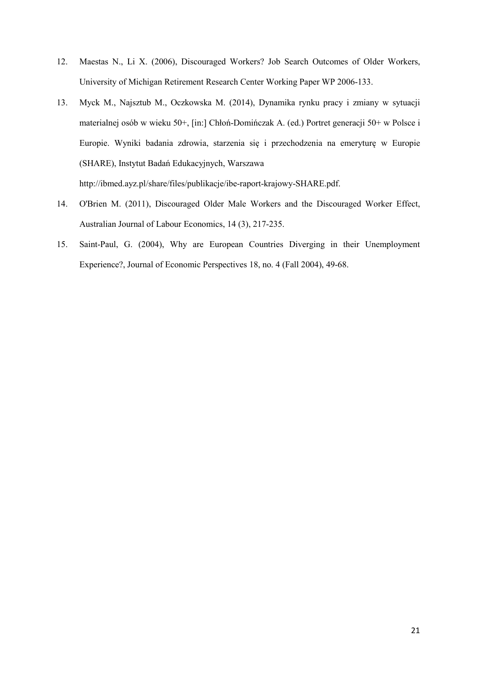- 12. Maestas N., Li X. (2006), Discouraged Workers? Job Search Outcomes of Older Workers, University of Michigan Retirement Research Center Working Paper WP 2006-133.
- 13. Myck M., Najsztub M., Oczkowska M. (2014), Dynamika rynku pracy i zmiany w sytuacji materialnej osób w wieku 50+, [in:] Chłoń-Domińczak A. (ed.) Portret generacji 50+ w Polsce i Europie. Wyniki badania zdrowia, starzenia się i przechodzenia na emeryturę w Europie (SHARE), Instytut Badań Edukacyjnych, Warszawa http://ibmed.ayz.pl/share/files/publikacje/ibe-raport-krajowy-SHARE.pdf.
- 14. O'Brien M. (2011), Discouraged Older Male Workers and the Discouraged Worker Effect, Australian Journal of Labour Economics, 14 (3), 217-235.
- 15. Saint-Paul, G. (2004), Why are European Countries Diverging in their Unemployment Experience?, Journal of Economic Perspectives 18, no. 4 (Fall 2004), 49-68.